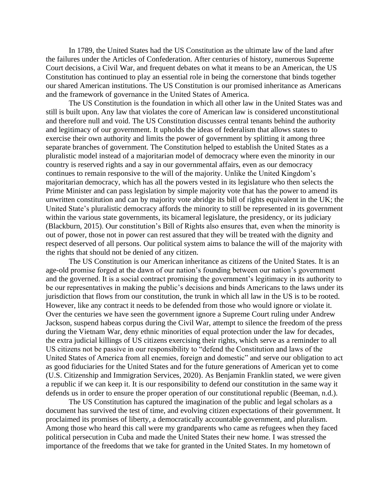In 1789, the United States had the US Constitution as the ultimate law of the land after the failures under the Articles of Confederation. After centuries of history, numerous Supreme Court decisions, a Civil War, and frequent debates on what it means to be an American, the US Constitution has continued to play an essential role in being the cornerstone that binds together our shared American institutions. The US Constitution is our promised inheritance as Americans and the framework of governance in the United States of America.

The US Constitution is the foundation in which all other law in the United States was and still is built upon. Any law that violates the core of American law is considered unconstitutional and therefore null and void. The US Constitution discusses central tenants behind the authority and legitimacy of our government. It upholds the ideas of federalism that allows states to exercise their own authority and limits the power of government by splitting it among three separate branches of government. The Constitution helped to establish the United States as a pluralistic model instead of a majoritarian model of democracy where even the minority in our country is reserved rights and a say in our governmental affairs, even as our democracy continues to remain responsive to the will of the majority. Unlike the United Kingdom's majoritarian democracy, which has all the powers vested in its legislature who then selects the Prime Minister and can pass legislation by simple majority vote that has the power to amend its unwritten constitution and can by majority vote abridge its bill of rights equivalent in the UK; the United State's pluralistic democracy affords the minority to still be represented in its government within the various state governments, its bicameral legislature, the presidency, or its judiciary (Blackburn, 2015). Our constitution's Bill of Rights also ensures that, even when the minority is out of power, those not in power can rest assured that they will be treated with the dignity and respect deserved of all persons. Our political system aims to balance the will of the majority with the rights that should not be denied of any citizen.

The US Constitution is our American inheritance as citizens of the United States. It is an age-old promise forged at the dawn of our nation's founding between our nation's government and the governed. It is a social contract promising the government's legitimacy in its authority to be our representatives in making the public's decisions and binds Americans to the laws under its jurisdiction that flows from our constitution, the trunk in which all law in the US is to be rooted. However, like any contract it needs to be defended from those who would ignore or violate it. Over the centuries we have seen the government ignore a Supreme Court ruling under Andrew Jackson, suspend habeas corpus during the Civil War, attempt to silence the freedom of the press during the Vietnam War, deny ethnic minorities of equal protection under the law for decades, the extra judicial killings of US citizens exercising their rights, which serve as a reminder to all US citizens not be passive in our responsibility to "defend the Constitution and laws of the United States of America from all enemies, foreign and domestic" and serve our obligation to act as good fiduciaries for the United States and for the future generations of American yet to come (U.S. Citizenship and Immigration Services, 2020). As Benjamin Franklin stated, we were given a republic if we can keep it. It is our responsibility to defend our constitution in the same way it defends us in order to ensure the proper operation of our constitutional republic (Beeman, n.d.).

The US Constitution has captured the imagination of the public and legal scholars as a document has survived the test of time, and evolving citizen expectations of their government. It proclaimed its promises of liberty, a democratically accountable government, and pluralism. Among those who heard this call were my grandparents who came as refugees when they faced political persecution in Cuba and made the United States their new home. I was stressed the importance of the freedoms that we take for granted in the United States. In my hometown of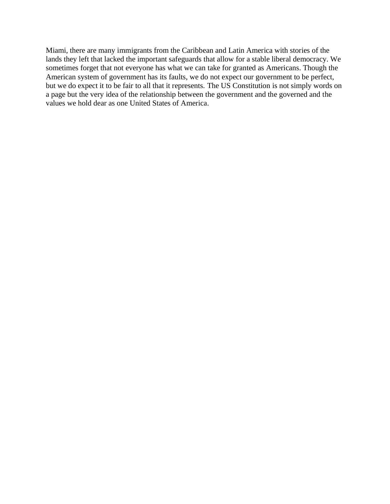Miami, there are many immigrants from the Caribbean and Latin America with stories of the lands they left that lacked the important safeguards that allow for a stable liberal democracy. We sometimes forget that not everyone has what we can take for granted as Americans. Though the American system of government has its faults, we do not expect our government to be perfect, but we do expect it to be fair to all that it represents. The US Constitution is not simply words on a page but the very idea of the relationship between the government and the governed and the values we hold dear as one United States of America.